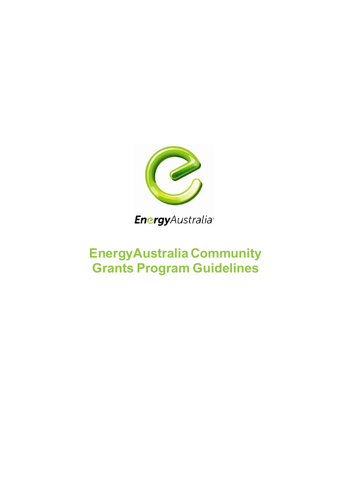

**Energy**Australia<sup>®</sup>

# **EnergyAustralia Community Grants Program Guidelines**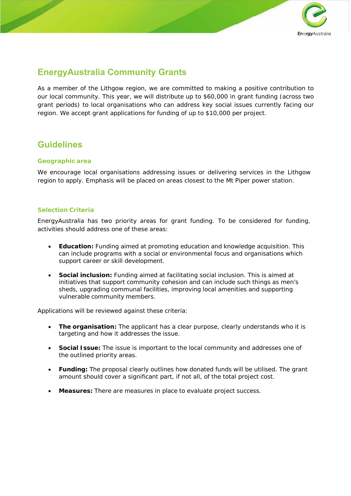

# **EnergyAustralia Community Grants**

As a member of the Lithgow region, we are committed to making a positive contribution to our local community. This year, we will distribute up to \$60,000 in grant funding (across two grant periods) to local organisations who can address key social issues currently facing our region. We accept grant applications for funding of up to \$10,000 per project.

# **Guidelines**

### *Geographic area*

We encourage local organisations addressing issues or delivering services in the Lithgow region to apply. Emphasis will be placed on areas closest to the Mt Piper power station.

#### *Selection Criteria*

EnergyAustralia has two priority areas for grant funding. To be considered for funding, activities should address one of these areas:

- **Education:** Funding aimed at promoting education and knowledge acquisition. This can include programs with a social or environmental focus and organisations which support career or skill development.
- **Social inclusion:** Funding aimed at facilitating social inclusion. This is aimed at initiatives that support community cohesion and can include such things as men's sheds, upgrading communal facilities, improving local amenities and supporting vulnerable community members.

Applications will be reviewed against these criteria:

- **The organisation:** The applicant has a clear purpose, clearly understands who it is targeting and how it addresses the issue.
- **Social Issue:** The issue is important to the local community and addresses one of the outlined priority areas.
- **Funding:** The proposal clearly outlines how donated funds will be utilised. The grant amount should cover a significant part, if not all, of the total project cost.
- **Measures:** There are measures in place to evaluate project success.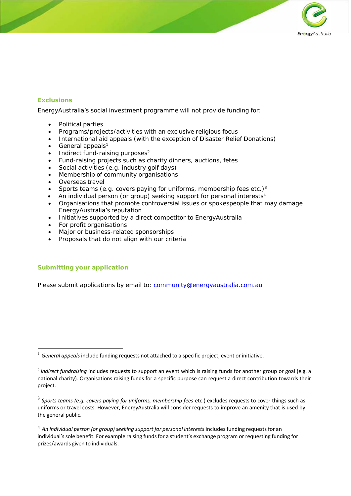

## *Exclusions*

EnergyAustralia's social investment programme will not provide funding for:

- Political parties
- Programs/projects/activities with an exclusive religious focus
- International aid appeals (with the exception of Disaster Relief Donations)
- General appeals $1$
- Indirect fund-raising purposes $2$
- Fund-raising projects such as charity dinners, auctions, fetes
- Social activities (e.g. industry golf days)
- Membership of community organisations
- Overseas travel
- Sports teams (e.g. covers paying for uniforms, membership fees etc.)<sup>3</sup>
- An individual person (or group) seeking support for personal interests<sup>4</sup>
- Organisations that promote controversial issues or spokespeople that may damage EnergyAustralia's reputation
- Initiatives supported by a direct competitor to EnergyAustralia
- For profit organisations
- Major or business-related sponsorships
- Proposals that do not align with our criteria

#### *Submitting your application*

Please submit applications by email to: community@energyaustralia.com.au

<sup>&</sup>lt;sup>1</sup> General appeals include funding requests not attached to a specific project, event or initiative.

<sup>2</sup>*Indirect fundraising* includes requests to support an event which is raising funds for another group or goal (e.g. a national charity). Organisations raising funds for a specific purpose can request a direct contribution towards their project.

<sup>3</sup>*Sports teams (e.g. covers paying for uniforms, membership fees* etc.) excludes requests to cover things such as uniforms or travel costs. However, EnergyAustralia will consider requests to improve an amenity that is used by the general public.

<sup>&</sup>lt;sup>4</sup> An individual person (or group) seeking support for personal interests includes funding requests for an individual's sole benefit. For example raising funds for a student's exchange program or requesting funding for prizes/awards given to individuals.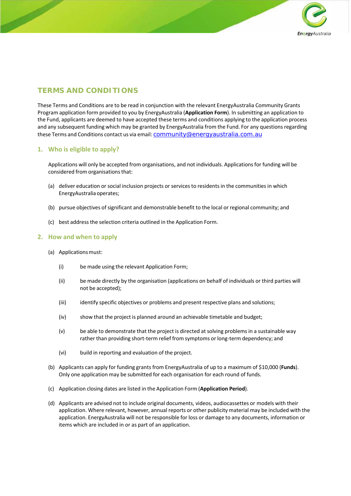

# **TERMS AND CONDITIONS**

These Terms and Conditions are to be read in conjunction with the relevant EnergyAustralia Community Grants Program application form provided to you by EnergyAustralia (**Application Form**). In submitting an application to the Fund, applicants are deemed to have accepted these terms and conditions applying to the application process and any subsequent funding which may be granted by EnergyAustralia from the Fund. For any questions regarding these Terms and Conditions contact us via email: community@energyaustralia.com.au

### **1. Who is eligible to apply?**

Applications will only be accepted from organisations, and not individuals. Applications for funding will be considered from organisations that:

- (a) deliver education or social inclusion projects or services to residents in the communities in which EnergyAustralia operates;
- (b) pursue objectives of significant and demonstrable benefit to the local or regional community; and
- (c) best address the selection criteria outlined in the Application Form.

#### **2. How and when to apply**

- (a) Applications must:
	- (i) be made using the relevant Application Form;
	- (ii) be made directly by the organisation (applications on behalf of individuals or third parties will not be accepted);
	- (iii) identify specific objectives or problems and present respective plans and solutions;
	- (iv) show that the project is planned around an achievable timetable and budget;
	- (v) be able to demonstrate that the project is directed at solving problems in a sustainable way rather than providing short-term relief from symptoms or long-term dependency; and
	- (vi) build in reporting and evaluation of the project.
- (b) Applicants can apply for funding grants from EnergyAustralia of up to a maximum of \$10,000 (**Funds**). Only one application may be submitted for each organisation for each round of funds.
- (c) Application closing dates are listed in the Application Form (**Application Period**).
- (d) Applicants are advised not to include original documents, videos, audiocassettes or models with their application. Where relevant, however, annual reports or other publicity material may be included with the application. EnergyAustralia will not be responsible for loss or damage to any documents, information or items which are included in or as part of an application.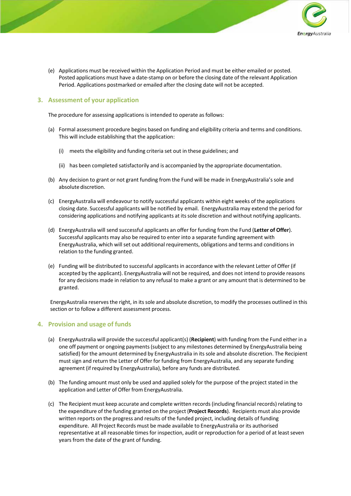

(e) Applications must be received within the Application Period and must be either emailed or posted. Posted applications must have a date‐stamp on or before the closing date of the relevant Application Period. Applications postmarked or emailed after the closing date will not be accepted.

## **3. Assessment of your application**

The procedure for assessing applications is intended to operate as follows:

- (a) Formal assessment procedure begins based on funding and eligibility criteria and terms and conditions. This will include establishing that the application:
	- (i) meets the eligibility and funding criteria set out in these guidelines; and
	- (ii) has been completed satisfactorily and is accompanied by the appropriate documentation.
- (b) Any decision to grant or not grant funding from the Fund will be made in EnergyAustralia's sole and absolute discretion.
- (c) EnergyAustralia will endeavour to notify successful applicants within eight weeks of the applications closing date. Successful applicants will be notified by email. EnergyAustralia may extend the period for considering applications and notifying applicants at its sole discretion and without notifying applicants.
- (d) EnergyAustralia will send successful applicants an offer for funding from the Fund (**Letter of Offer**). Successful applicants may also be required to enter into a separate funding agreement with EnergyAustralia, which will set out additional requirements, obligations and terms and conditions in relation to the funding granted.
- (e) Funding will be distributed to successful applicants in accordance with the relevant Letter of Offer (if accepted by the applicant). EnergyAustralia will not be required, and does not intend to provide reasons for any decisions made in relation to any refusal to make a grant or any amount that is determined to be granted.

EnergyAustralia reserves the right, in its sole and absolute discretion, to modify the processes outlined in this section or to follow a different assessment process.

### **4. Provision and usage of funds**

- (a) EnergyAustralia will provide the successful applicant(s) (**Recipient**) with funding from the Fund either in a one off payment or ongoing payments (subject to any milestones determined by EnergyAustralia being satisfied) for the amount determined by EnergyAustralia in its sole and absolute discretion. The Recipient must sign and return the Letter of Offer for funding from EnergyAustralia, and any separate funding agreement (if required by EnergyAustralia), before any funds are distributed.
- (b) The funding amount must only be used and applied solely for the purpose of the project stated in the application and Letter of Offer from EnergyAustralia.
- (c) The Recipient must keep accurate and complete written records (including financial records) relating to the expenditure of the funding granted on the project (**Project Records**). Recipients must also provide written reports on the progress and results of the funded project, including details of funding expenditure. All Project Records must be made available to EnergyAustralia or its authorised representative at all reasonable times for inspection, audit or reproduction for a period of at least seven years from the date of the grant of funding.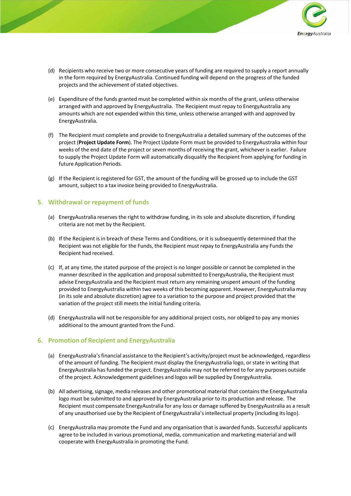

- (d) Recipients who receive two or more consecutive years of funding are required to supply a report annually in the form required by EnergyAustralia. Continued funding will depend on the progress of the funded projects and the achievement of stated objectives.
- (e) Expenditure of the funds granted must be completed within six months of the grant, unless otherwise arranged with and approved by EnergyAustralia. The Recipient must repay to EnergyAustralia any amounts which are not expended within this time, unless otherwise arranged with and approved by EnergyAustralia.
- (f) The Recipient must complete and provide to EnergyAustralia a detailed summary of the outcomes of the project (**Project Update Form**). The Project Update Form must be provided to EnergyAustralia within four weeks of the end date of the project or seven months of receiving the grant, whichever is earlier. Failure to supply the Project Update Form will automatically disqualify the Recipient from applying for funding in future Application Periods.
- (g) If the Recipient is registered for GST, the amount of the funding will be grossed up to include the GST amount, subject to a tax invoice being provided to EnergyAustralia.

#### **5. Withdrawal or repayment of funds**

- (a) EnergyAustralia reserves the right to withdraw funding, in its sole and absolute discretion, if funding criteria are not met by the Recipient.
- (b) If the Recipient is in breach of these Terms and Conditions, or it is subsequently determined that the Recipient was not eligible for the Funds, the Recipient must repay to EnergyAustralia any Funds the Recipient had received.
- (c) If, at any time, the stated purpose of the project is no longer possible or cannot be completed in the manner described in the application and proposal submitted to EnergyAustralia, the Recipient must advise EnergyAustralia and the Recipient must return any remaining unspent amount of the funding provided to EnergyAustralia within two weeks of this becoming apparent. However, EnergyAustralia may (in its sole and absolute discretion) agree to a variation to the purpose and project provided that the variation of the project still meets the initial funding criteria.
- (d) EnergyAustralia will not be responsible for any additional project costs, nor obliged to pay any monies additional to the amount granted from the Fund.

### **6. Promotion of Recipient and EnergyAustralia**

- (a) EnergyAustralia's financial assistance to the Recipient's activity/project must be acknowledged, regardless of the amount of funding. The Recipient must display the EnergyAustralia logo, or state in writing that EnergyAustralia has funded the project. EnergyAustralia may not be referred to for any purposes outside of the project. Acknowledgement guidelines and logos will be supplied by EnergyAustralia.
- (b) All advertising, signage, media releases and other promotional material that contains the EnergyAustralia logo must be submitted to and approved by EnergyAustralia prior to its production and release. The Recipient must compensate EnergyAustralia for any loss or damage suffered by EnergyAustralia as a result of any unauthorised use by the Recipient of EnergyAustralia's intellectual property (including its logo).
- (c) EnergyAustralia may promote the Fund and any organisation that is awarded funds. Successful applicants agree to be included in various promotional, media, communication and marketing material and will cooperate with EnergyAustralia in promoting the Fund.